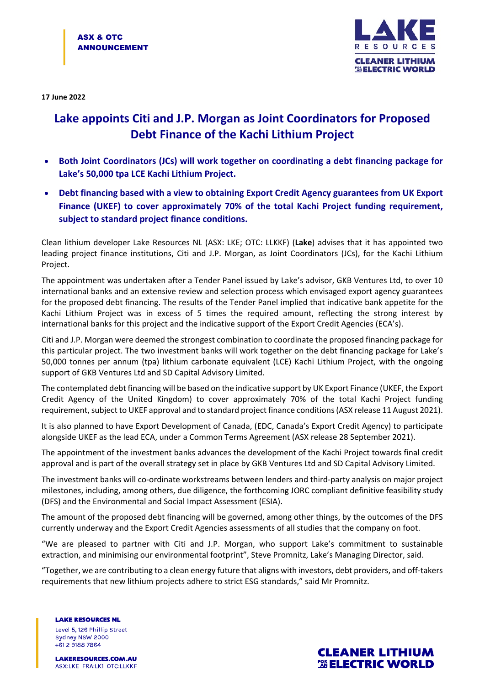

**17 June 2022**

## **Lake appoints Citi and J.P. Morgan as Joint Coordinators for Proposed Debt Finance of the Kachi Lithium Project**

- **Both Joint Coordinators (JCs) will work together on coordinating a debt financing package for Lake's 50,000 tpa LCE Kachi Lithium Project.**
- **Debt financing based with a view to obtaining Export Credit Agency guarantees from UK Export Finance (UKEF) to cover approximately 70% of the total Kachi Project funding requirement, subject to standard project finance conditions.**

Clean lithium developer Lake Resources NL (ASX: LKE; OTC: LLKKF) (**Lake**) advises that it has appointed two leading project finance institutions, Citi and J.P. Morgan, as Joint Coordinators (JCs), for the Kachi Lithium Project.

The appointment was undertaken after a Tender Panel issued by Lake's advisor, GKB Ventures Ltd, to over 10 international banks and an extensive review and selection process which envisaged export agency guarantees for the proposed debt financing. The results of the Tender Panel implied that indicative bank appetite for the Kachi Lithium Project was in excess of 5 times the required amount, reflecting the strong interest by international banks for this project and the indicative support of the Export Credit Agencies (ECA's).

Citi and J.P. Morgan were deemed the strongest combination to coordinate the proposed financing package for this particular project. The two investment banks will work together on the debt financing package for Lake's 50,000 tonnes per annum (tpa) lithium carbonate equivalent (LCE) Kachi Lithium Project, with the ongoing support of GKB Ventures Ltd and SD Capital Advisory Limited.

The contemplated debt financing will be based on the indicative support by UK Export Finance (UKEF, the Export Credit Agency of the United Kingdom) to cover approximately 70% of the total Kachi Project funding requirement, subject to UKEF approval and to standard project finance conditions(ASX release 11 August 2021).

It is also planned to have Export Development of Canada, (EDC, Canada's Export Credit Agency) to participate alongside UKEF as the lead ECA, under a Common Terms Agreement (ASX release 28 September 2021).

The appointment of the investment banks advances the development of the Kachi Project towards final credit approval and is part of the overall strategy set in place by GKB Ventures Ltd and SD Capital Advisory Limited.

The investment banks will co-ordinate workstreams between lenders and third-party analysis on major project milestones, including, among others, due diligence, the forthcoming JORC compliant definitive feasibility study (DFS) and the Environmental and Social Impact Assessment (ESIA).

The amount of the proposed debt financing will be governed, among other things, by the outcomes of the DFS currently underway and the Export Credit Agencies assessments of all studies that the company on foot.

"We are pleased to partner with Citi and J.P. Morgan, who support Lake's commitment to sustainable extraction, and minimising our environmental footprint", Steve Promnitz, Lake's Managing Director, said.

"Together, we are contributing to a clean energy future that aligns with investors, debt providers, and off-takers requirements that new lithium projects adhere to strict ESG standards," said Mr Promnitz.

**LAKE RESOURCES NL** Level 5, 126 Phillip Street Sydney NSW 2000 +61 2 9188 7864

**LAKERESOURCES.COM.AU** ASX:LKE FRA:LK1 OTC:LLKKF

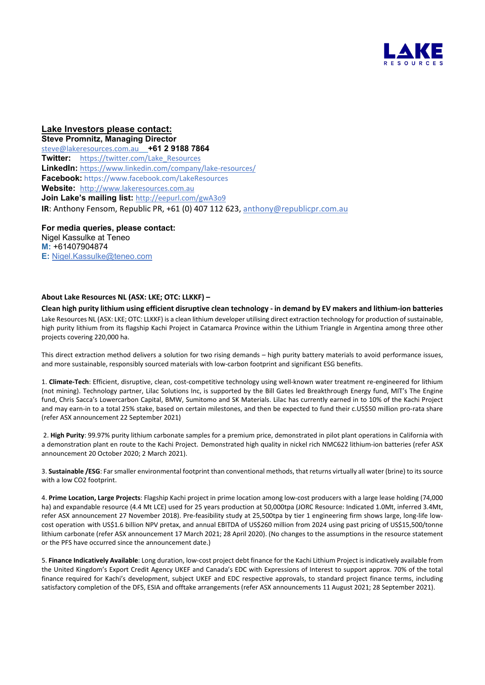

**Lake Investors please contact: Steve Promnitz, Managing Director**  [steve@lakeresources.com.au](mailto:steve@lakeresources.com.au) **+61 2 9188 7864 Twitter:** [https://twitter.com/Lake\\_Resources](https://twitter.com/Lake_Resources) **LinkedIn:** <https://www.linkedin.com/company/lake-resources/> **Facebook:** https://www.facebook.com/LakeResources **Website:** [http://www.lakeresources.com.au](http://www.lakeresources.com.au/) **Join Lake's mailing list:** <http://eepurl.com/gwA3o9> **IR**: Anthony Fensom, Republic PR, +61 (0) 407 112 623, [anthony@republicpr.com.au](mailto:anthony@republicpr.com.au)

**For media queries, please contact:** Nigel Kassulke at Teneo **M:** +61407904874 **E:** [Nigel.Kassulke@teneo.com](mailto:Nigel.Kassulke@teneo.com)

## **About Lake Resources NL (ASX: LKE; OTC: LLKKF) –**

**Clean high purity lithium using efficient disruptive clean technology - in demand by EV makers and lithium-ion batteries** Lake Resources NL (ASX: LKE; OTC: LLKKF) is a clean lithium developer utilising direct extraction technology for production of sustainable, high purity lithium from its flagship Kachi Project in Catamarca Province within the Lithium Triangle in Argentina among three other projects covering 220,000 ha.

This direct extraction method delivers a solution for two rising demands – high purity battery materials to avoid performance issues, and more sustainable, responsibly sourced materials with low-carbon footprint and significant ESG benefits.

1. **Climate-Tech**: Efficient, disruptive, clean, cost-competitive technology using well-known water treatment re-engineered for lithium (not mining). Technology partner, Lilac Solutions Inc, is supported by the Bill Gates led Breakthrough Energy fund, MIT's The Engine fund, Chris Sacca's Lowercarbon Capital, BMW, Sumitomo and SK Materials. Lilac has currently earned in to 10% of the Kachi Project and may earn-in to a total 25% stake, based on certain milestones, and then be expected to fund their c.US\$50 million pro-rata share (refer ASX announcement 22 September 2021)

 2. **High Purity**: 99.97% purity lithium carbonate samples for a premium price, demonstrated in pilot plant operations in California with a demonstration plant en route to the Kachi Project. Demonstrated high quality in nickel rich NMC622 lithium-ion batteries (refer ASX announcement 20 October 2020; 2 March 2021).

3. **Sustainable /ESG**: Far smaller environmental footprint than conventional methods, that returns virtually all water (brine) to its source with a low CO2 footprint.

4. **Prime Location, Large Projects**: Flagship Kachi project in prime location among low-cost producers with a large lease holding (74,000 ha) and expandable resource (4.4 Mt LCE) used for 25 years production at 50,000tpa (JORC Resource: Indicated 1.0Mt, inferred 3.4Mt, refer ASX announcement 27 November 2018). Pre-feasibility study at 25,500tpa by tier 1 engineering firm shows large, long-life lowcost operation with US\$1.6 billion NPV pretax, and annual EBITDA of US\$260 million from 2024 using past pricing of US\$15,500/tonne lithium carbonate (refer ASX announcement 17 March 2021; 28 April 2020). (No changes to the assumptions in the resource statement or the PFS have occurred since the announcement date.)

5. **Finance Indicatively Available**: Long duration, low-cost project debt finance for the Kachi Lithium Project is indicatively available from the United Kingdom's Export Credit Agency UKEF and Canada's EDC with Expressions of Interest to support approx. 70% of the total finance required for Kachi's development, subject UKEF and EDC respective approvals, to standard project finance terms, including satisfactory completion of the DFS, ESIA and offtake arrangements (refer ASX announcements 11 August 2021; 28 September 2021).